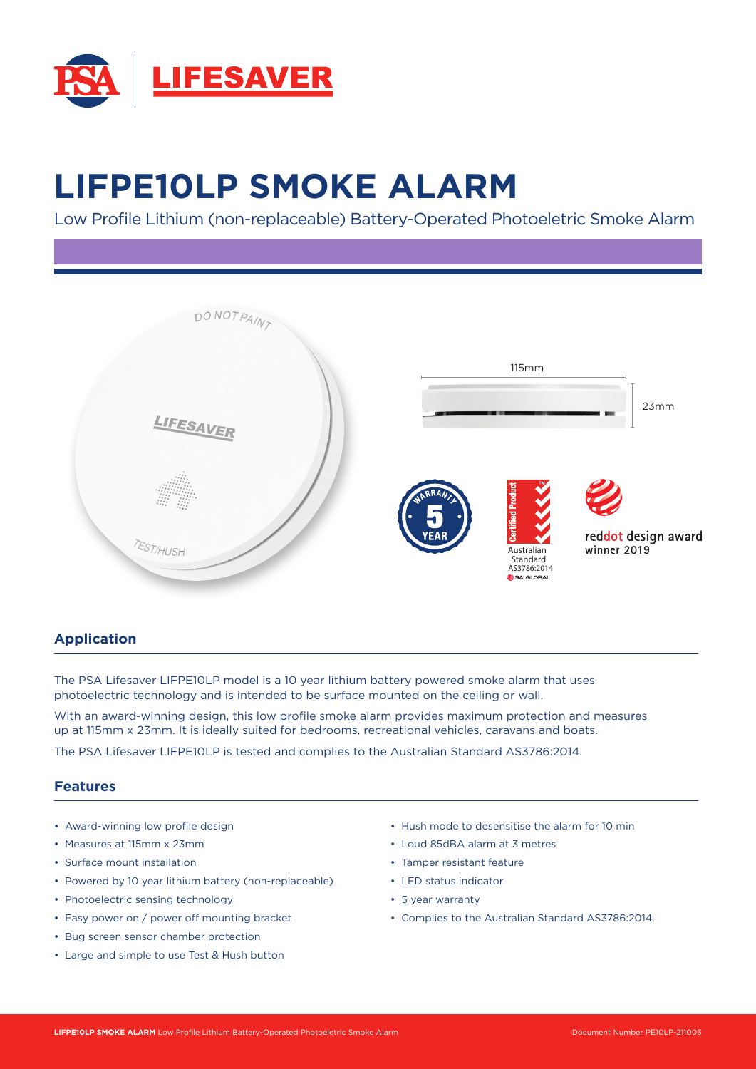

# **LIFPE10LP SMOKE ALARM**

Low Profile Lithium (non-replaceable) Battery-Operated Photoeletric Smoke Alarm



## **Application**

The PSA Lifesaver LIFPE10LP model is a 10 year lithium battery powered smoke alarm that uses photoelectric technology and is intended to be surface mounted on the ceiling or wall.

With an award-winning design, this low profile smoke alarm provides maximum protection and measures up at 115mm x 23mm. It is ideally suited for bedrooms, recreational vehicles, caravans and boats.

The PSA Lifesaver LIFPE10LP is tested and complies to the Australian Standard AS3786:2014.

#### **Features**

- Award-winning low profile design
- Measures at 115mm x 23mm
- Surface mount installation
- Powered by 10 year lithium battery (non-replaceable)
- Photoelectric sensing technology
- Easy power on / power off mounting bracket
- Bug screen sensor chamber protection
- Large and simple to use Test & Hush button
- Hush mode to desensitise the alarm for 10 min
- Loud 85dBA alarm at 3 metres
- Tamper resistant feature
- LED status indicator
- 5 year warranty
- Complies to the Australian Standard AS3786:2014.